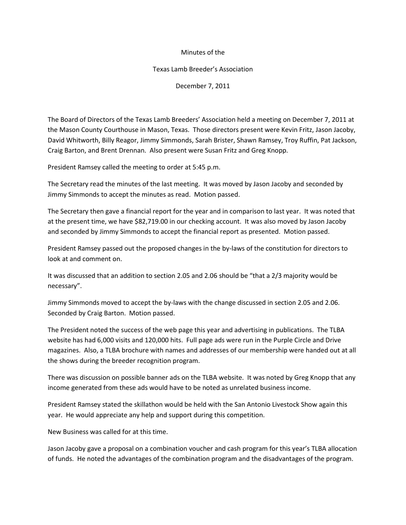## Minutes of the

## Texas Lamb Breeder's Association

December 7, 2011

The Board of Directors of the Texas Lamb Breeders' Association held a meeting on December 7, 2011 at the Mason County Courthouse in Mason, Texas. Those directors present were Kevin Fritz, Jason Jacoby, David Whitworth, Billy Reagor, Jimmy Simmonds, Sarah Brister, Shawn Ramsey, Troy Ruffin, Pat Jackson, Craig Barton, and Brent Drennan. Also present were Susan Fritz and Greg Knopp.

President Ramsey called the meeting to order at 5:45 p.m.

The Secretary read the minutes of the last meeting. It was moved by Jason Jacoby and seconded by Jimmy Simmonds to accept the minutes as read. Motion passed.

The Secretary then gave a financial report for the year and in comparison to last year. It was noted that at the present time, we have \$82,719.00 in our checking account. It was also moved by Jason Jacoby and seconded by Jimmy Simmonds to accept the financial report as presented. Motion passed.

President Ramsey passed out the proposed changes in the by-laws of the constitution for directors to look at and comment on.

It was discussed that an addition to section 2.05 and 2.06 should be "that a 2/3 majority would be necessary".

Jimmy Simmonds moved to accept the by-laws with the change discussed in section 2.05 and 2.06. Seconded by Craig Barton. Motion passed.

The President noted the success of the web page this year and advertising in publications. The TLBA website has had 6,000 visits and 120,000 hits. Full page ads were run in the Purple Circle and Drive magazines. Also, a TLBA brochure with names and addresses of our membership were handed out at all the shows during the breeder recognition program.

There was discussion on possible banner ads on the TLBA website. It was noted by Greg Knopp that any income generated from these ads would have to be noted as unrelated business income.

President Ramsey stated the skillathon would be held with the San Antonio Livestock Show again this year. He would appreciate any help and support during this competition.

New Business was called for at this time.

Jason Jacoby gave a proposal on a combination voucher and cash program for this year's TLBA allocation of funds. He noted the advantages of the combination program and the disadvantages of the program.